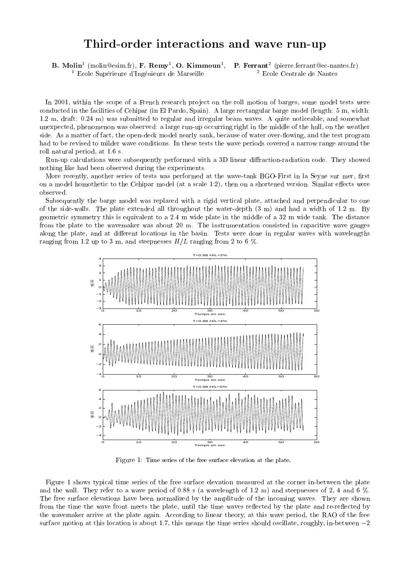## Third-order interactions and wave run-up

B. MOIIII (molin@esim.fr), F. Remy , O. Kimmoun , P. Ferrant (pierre.ferrant@ec-nantes.fr)  $^1$  Ecole Supérieure d'Ingénieurs de Marseille  $^2$  Ecole Centrale de Nantes

In 2001, within the scope of a French research project on the roll motion of barges, some model tests were conducted in the facilities of Cehipar (in El Pardo, Spain). A large rectangular barge model (length: 5 m, width: 1.2 m, draft: 0.24 m) was submitted to regular and irregular beam waves. A quite noticeable, and somewhat unexpected, phenomenon was observed: a large run-up occurring right in the middle of the hull, on the weather side. As a matter of fact, the open-deck model nearly sank, because of water over-flowing, and the test program had to be revised to milder wave conditions. In these tests the wave periods covered a narrow range around the roll natural period, at 1.6 s.

Run-up calculations were subsequently performed with a 3D linear diffraction-radiation code. They showed nothing like had been observed during the experiments.

More recently, another series of tests was performed at the wave-tank BGO-First in la Seyne sur mer, first on a model homothetic to the Cehipar model (at a scale 1:2), then on a shortened version. Similar effects were

Subsequently the barge model was replaced with a rigid vertical plate, attached and perpendicular to one of the side-walls. The plate extended all throughout the water-depth (3 m) and had a width of 1.2 m. By geometric symmetry this is equivalent to a 2.4 m wide plate in the middle of a 32 m wide tank. The distance from the plate to the wavemaker was about 20 m. The instrumentation consisted in capacitive wave gauges along the plate, and at different locations in the basin. Tests were done in regular waves with wavelengths ranging from 1.2 up to 3 m, and steepnesses  $H/L$  ranging from 2 to 6 %.



Figure 1: Time series of the free surface elevation at the plate.

Figure 1 shows typical time series of the free surface elevation measured at the corner in-between the plate and the wall. They refer to a wave period of 0.88 s (a wavelength of 1.2 m) and steepnesses of 2, 4 and 6 %. The free surface elevations have been normalized by the amplitude of the incoming waves. They are shown from the time the wave front meets the plate, until the time waves reflected by the plate and re-reflected by the wavemaker arrive at the plate again. According to linear theory, at this wave period, the RAO of the free surface motion at this location is about 1.7, this means the time series should oscillate, roughly, in-between  $-2$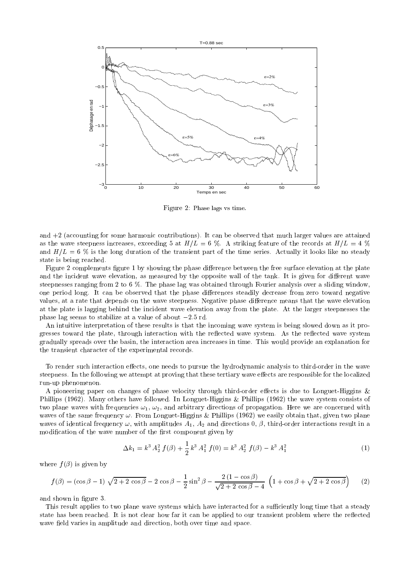

Figure 2: Phase lags vs time.

and  $+2$  (accounting for some harmonic contributions). It can be observed that much larger values are attained as the wave steepness increases, exceeding 5 at  $H/L = 6$  %. A striking feature of the records at  $H/L = 4$  % and  $H/L = 6\%$  is the long duration of the transient part of the time series. Actually it looks like no steady state is being reached.

Figure 2 complements figure 1 by showing the phase difference between the free surface elevation at the plate and the incident wave elevation, as measured by the opposite wall of the tank. It is given for different wave steepnesses ranging from 2 to 6 %. The phase lag was obtained through Fourier analysis over a sliding window, one period long. It can be observed that the phase differences steadily decrease from zero toward negative values, at a rate that depends on the wave steepness. Negative phase difference means that the wave elevation at the plate is lagging behind the incident wave elevation away from the plate. At the larger steepnesses the phase lag seems to stabilize at a value of about  $-2.5$  rd.

An intuitive interpretation of these results is that the incoming wave system is being slowed down as it progresses toward the plate, through interaction with the reflected wave system. As the reflected wave system gradually spreads over the basin, the interaction area increases in time. This would provide an explanation for the transient character of the experimental records.

To render such interaction effects, one needs to pursue the hydrodynamic analysis to third-order in the wave steepness. In the following we attempt at proving that these tertiary wave effects are responsible for the localized run-up phenomenon.

A pioneering paper on changes of phase velocity through third-order effects is due to Longuet-Higgins  $\&$ Phillips (1962). Many others have followed. In Longuet-Higgins & Phillips (1962) the wave system consists of two plane waves with frequencies  $\omega_1$ ,  $\omega_2$ , and arbitrary directions of propagation. Here we are concerned with waves of the same frequency  $\omega$ . From Longuet-Higgins & Phillips (1962) we easily obtain that, given two plane waves of identical frequency  $\omega$ , with amplitudes  $A_1$ ,  $A_2$  and directions 0,  $\beta$ , third-order interactions result in a modification of the wave number of the first component given by

$$
\Delta k_1 = k^3 A_2^2 f(\beta) + \frac{1}{2} k^3 A_1^2 f(0) = k^3 A_2^2 f(\beta) - k^3 A_1^2
$$
 (1)

where  $f(\beta)$  is given by

$$
f(\beta) = (\cos \beta - 1) \sqrt{2 + 2 \cos \beta} - 2 \cos \beta - \frac{1}{2} \sin^2 \beta - \frac{2(1 - \cos \beta)}{\sqrt{2 + 2 \cos \beta} - 4} \left(1 + \cos \beta + \sqrt{2 + 2 \cos \beta}\right) \tag{2}
$$

and shown in figure 3.

This result applies to two plane wave systems which have interacted for a sufficiently long time that a steady state has been reached. It is not clear how far it can be applied to our transient problem where the reflected wave field varies in amplitude and direction, both over time and space.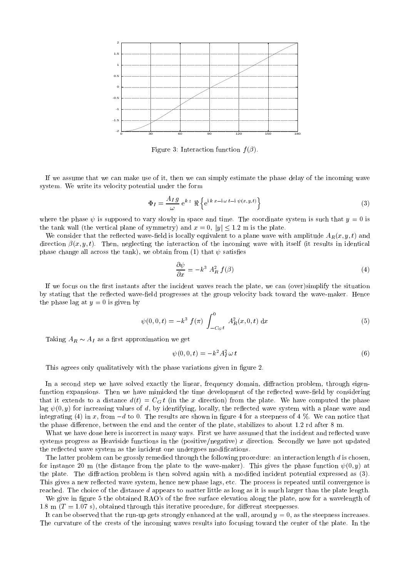

Figure 3: Interaction function  $f(\beta)$ .

If we assume that we can make use of it, then we can simply estimate the phase delay of the incoming wave system. We write its velocity potential under the form

$$
\Phi_I = \frac{A_I g}{\omega} e^{k z} \Re \left\{ e^{i k x - i \omega t - i \psi(x, y, t)} \right\}
$$
\n(3)

where the phase  $\psi$  is supposed to vary slowly in space and time. The coordinate system is such that  $y = 0$  is the tank wall (the vertical plane of symmetry) and  $x = 0$ ,  $|y| \le 1.2$  m is the plate.

We consider that the reflected wave-field is locally equivalent to a plane wave with amplitude  $A_R(x, y, t)$  and direction  $\beta(x, y, t)$ . Then, neglecting the interaction of the incoming wave with itself (it results in identical phase change all across the tank), we obtain from (1) that  $\psi$  satisfies

$$
\frac{\partial \psi}{\partial x} = -k^3 A_R^2 f(\beta) \tag{4}
$$

If we focus on the first instants after the incident waves reach the plate, we can (over)simplify the situation by stating that the reflected wave-field progresses at the group velocity back toward the wave-maker. Hence the phase lag at  $y = 0$  is given by

$$
\psi(0,0,t) = -k^3 f(\pi) \int_{-C_G t}^{0} A_R^2(x,0,t) dx
$$
\n(5)

Taking  $A_R \sim A_I$  as a first approximation we get

$$
\psi(0,0,t) = -k^2 A_t^2 \omega t \tag{6}
$$

This agrees only qualitatively with the phase variations given in figure 2.

In a second step we have solved exactly the linear, frequency domain, diffraction problem, through eigenfunction expansions. Then we have mimicked the time development of the reflected wave-field by considering that it extends to a distance  $d(t) = C_G t$  (in the x direction) from the plate. We have computed the phase lag  $\psi(0, y)$  for increasing values of d, by identifying, locally, the reflected wave system with a plane wave and integrating (4) in x, from  $-d$  to 0. The results are shown in figure 4 for a steepness of 4 %. We can notice that the phase difference, between the end and the center of the plate, stabilizes to about 1.2 rd after  $8 \text{ m}$ .

What we have done here is incorrect in many ways. First we have assumed that the incident and reflected wave systems progress as Heaviside functions in the (positive/negative) x direction. Secondly we have not updated the reflected wave system as the incident one undergoes modifications.

The latter problem can be grossly remedied through the following procedure: an interaction length  $d$  is chosen, for instance 20 m (the distance from the plate to the wave-maker). This gives the phase function  $\psi(0, y)$  at the plate. The diffraction problem is then solved again with a modified incident potential expressed as (3). This gives a new reflected wave system, hence new phase lags, etc. The process is repeated until convergence is reached. The choice of the distance  $d$  appears to matter little as long as it is much larger than the plate length.

We give in figure 5 the obtained RAO's of the free surface elevation along the plate, now for a wavelength of 1.8 m  $(T = 1.07 \text{ s})$ , obtained through this iterative procedure, for different steepnesses.

It can be observed that the run-up gets strongly enhanced at the wall, around  $y = 0$ , as the steepness increases. The curvature of the crests of the incoming waves results into focusing toward the center of the plate. In the